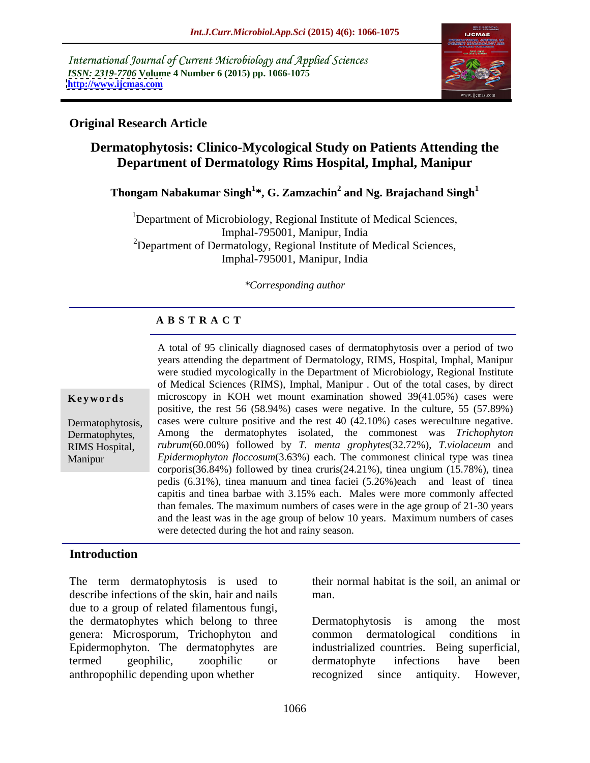International Journal of Current Microbiology and Applied Sciences *ISSN: 2319-7706* **Volume 4 Number 6 (2015) pp. 1066-1075 <http://www.ijcmas.com>**



### **Original Research Article**

# **Dermatophytosis: Clinico-Mycological Study on Patients Attending the Department of Dermatology Rims Hospital, Imphal, Manipur**

# **Thongam Nabakumar Singh<sup>1</sup> \*, G. Zamzachin<sup>2</sup> and Ng. Brajachand Singh<sup>1</sup>**

<sup>1</sup>Department of Microbiology, Regional Institute of Medical Sciences, Imphal-795001, Manipur, India <sup>2</sup>Department of Dermatology, Regional Institute of Medical Sciences, Imphal-795001, Manipur, India

#### *\*Corresponding author*

#### **A B S T R A C T**

Dermatophytes, RIMS Hospital, Manipur

A total of 95 clinically diagnosed cases of dermatophytosis over a period of two years attending the department of Dermatology, RIMS, Hospital, Imphal, Manipur were studied mycologically in the Department of Microbiology, Regional Institute of Medical Sciences (RIMS), Imphal, Manipur . Out of the total cases, by direct microscopy in KOH wet mount examination showed 39(41.05%) cases were positive, the rest 56 (58.94%) cases were negative. In the culture,55 (57.89%) Dermatophytosis, cases were culture positive and the rest 40 (42.10%) cases wereculture negative. Among the dermatophytes isolated, the commonest was *Trichophyton rubrum*(60.00%) followed by *T. menta grophytes*(32.72%), *T.violaceum* and *Epidermophyton floccosum*(3.63%) each. The commonest clinical type was tinea corporis(36.84%) followed by tinea cruris(24.21%), tinea ungium (15.78%), tinea pedis (6.31%), tinea manuum and tinea faciei (5.26%)each and least of tinea capitis and tinea barbae with 3.15% each. Males were more commonly affected than females. The maximum numbers of cases were in the age group of 21-30 years and the least was in the age group of below 10 years. Maximum numbers of cases **Keywords**<br>
microscopy in KOH wet mount examination showed 39(41.05%) cases were<br>
positive, the rest 56 (58.94%) cases were negative. In the culture, 55 (57.89%)<br>
Dermatophytosis, cases were culture positive and the rest 4

#### **Introduction**

The term dermatophytosis is used to their normal habitat is the soil, an animal or describe infections of the skin, hair and nails due to a group of related filamentous fungi, the dermatophytes which belong to three Dermatophytosis is among the most genera: Microsporum, Trichophyton and Epidermophyton. The dermatophytes are termed geophilic, zoophilic or anthropophilic depending upon whether recognized since antiquity. However,

man.

Dermatophytosis is among common dermatological conditions in industrialized countries. Being superficial, dermatophyte infections have been recognized since antiquity. However,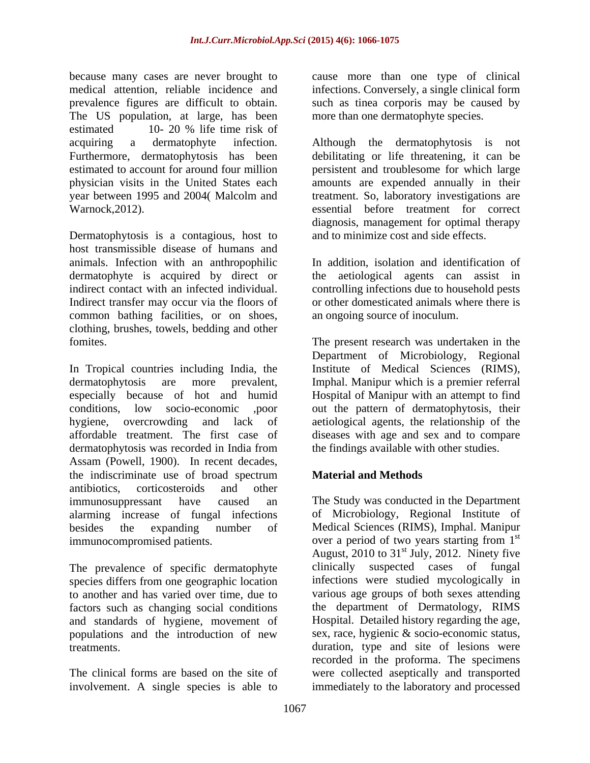because many cases are never brought to cause more than one type of clinical medical attention, reliable incidence and infections. Conversely, a single clinical form prevalence figures are difficult to obtain. Such as tinea corporis may be caused by The US population, at large, has been estimated 10- 20 % life time risk of acquiring a dermatophyte infection. Although the dermatophytosis is not Furthermore, dermatophytosis has been debilitating or life threatening, it can be estimated to account for around four million persistent and troublesome for which large physician visits in the United States each amounts are expended annually in their year between 1995 and 2004( Malcolm and Warnock,2012). essential before treatment for correct

Dermatophytosis is a contagious, host to host transmissible disease of humans and animals. Infection with an anthropophilic dermatophyte is acquired by direct or the aetiological agents can assist in indirect contact with an infected individual. controlling infections due to household pests Indirect transfer may occur via the floors of common bathing facilities, or on shoes, clothing, brushes, towels, bedding and other

In Tropical countries including India, the dermatophytosis are more prevalent, Imphal. Manipur which is a premier referral especially because of hot and humid Hospital of Manipur with an attempt to find conditions, low socio-economic ,poor out the pattern of dermatophytosis, their hygiene, overcrowding and lack of aetiological agents, the relationship of the affordable treatment. The first case of diseases with age and sex and to compare dermatophytosis was recorded in India from Assam (Powell, 1900). In recent decades, the indiscriminate use of broad spectrum **Material and Methods** antibiotics, corticosteroids and other immunosuppressant have caused an The Study was conducted in the Department alarming increase of fungal infections besides the expanding number of Medical Sciences (RIMS), Imphal. Manipur

The prevalence of specific dermatophyte clinically factors such as changing social conditions and standards of hygiene, movement of populations and the introduction of new

involvement. A single species is able to

more than one dermatophyte species.

treatment. So, laboratory investigations are diagnosis, management for optimal therapy and to minimize cost and side effects.

In addition, isolation and identification of or other domesticated animals where there is an ongoing source of inoculum.

fomites. The present research was undertaken in the Department of Microbiology, Regional Institute of Medical Sciences (RIMS), the findings available with other studies.

## **Material and Methods**

immunocompromised patients. The over a period of two years starting from 1<sup>st</sup> species differs from one geographic location infections were studied mycologically in to another and has varied over time, due to various age groups of both sexes attending treatments. duration, type and site of lesionswere The clinical forms are based on the site of were collected aseptically and transported of Microbiology, Regional Institute of st August, 2010 to  $31<sup>st</sup>$  July, 2012. Ninety five st July, 2012. Ninety five suspected cases of fungal the department of Dermatology, RIMS Hospital. Detailed history regarding the age, sex, race, hygienic & socio-economic status, recorded in the proforma. The specimens immediately to the laboratory and processed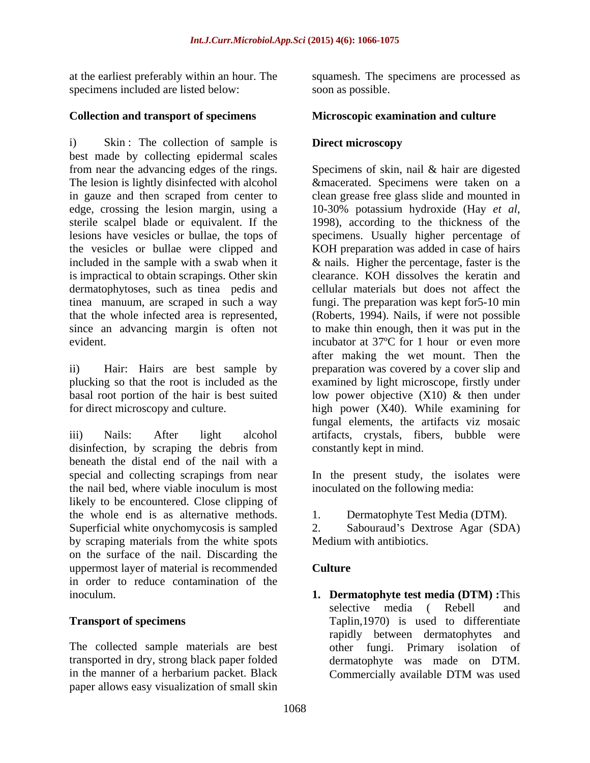specimens included are listed below:

### **Collection and transport of specimens**

i) Skin: The collection of sample is **Direct microscopy** best made by collecting epidermal scales edge, crossing the lesion margin, using a 10-30% potassium hydroxide (Hay et al. sterile scalpel blade or equivalent. If the 1998), according to the thickness of the the vesicles or bullae were clipped and is impractical to obtain scrapings. Other skin dermatophytoses, such as tinea pedis and

disinfection, by scraping the debris from beneath the distal end of the nail with a special and collecting scrapings from near In the present study, the isolates were the nail bed, where viable inoculum is most likely to be encountered. Close clipping of the whole end is as alternative methods. Superficial white onychomycosis is sampled 2. by scraping materials from the white spots on the surface of the nail. Discarding the uppermost layer of material is recommended in order to reduce contamination of the

The collected sample materials are best transported in dry, strong black paper folded in the manner of a herbarium packet. Black Commercially available DTM was used paper allows easy visualization of small skin

at the earliest preferably within an hour. The squamesh. The specimens are processed as soon as possible.

## **Microscopic examination and culture**

## **Direct microscopy**

from near the advancing edges of the rings. Specimens of skin, nail & hair are digested The lesion is lightly disinfected with alcohol &macerated. Specimens were taken on a in gauze and then scraped from center to clean grease free glass slide and mounted in lesions have vesicles or bullae, the tops of specimens. Usually higher percentage of included in the sample with a swab when it & nails. Higher the percentage, faster is the tinea manuum, are scraped in such a way fungi. The preparation was kept for5-10 min that the whole infected area is represented, (Roberts, 1994). Nails, if were not possible since an advancing margin is often not to make thin enough, then it was put in the evident. ii) Hair: Hairs are best sample by preparation was covered by a cover slip and plucking so that the root is included as the examined by light microscope, firstly under basal root portion of the hair is best suited low power objective (X10) & then under for direct microscopy and culture. high power (X40). While examining for iii) Nails: After light alcohol artifacts, crystals, fibers, bubble were 10-30% potassium hydroxide (Hay *et al*, 1998), according to the thickness of the KOH preparation was added in case of hairs clearance. KOH dissolves the keratin and cellular materials but does not affect the after making the wet mount. Then the fungal elements, the artifacts viz mosaic constantly kept in mind.

inoculated on the following media:

Dermatophyte Test Media (DTM).

Sabouraud's Dextrose Agar (SDA) Medium with antibiotics.

### **Culture Culture**

inoculum. **1. Dermatophyte test media (DTM) :**This **Transport of specimens** Taplin,1970) is used to differentiate selective media ( Rebell and rapidly between dermatophytes and other fungi. Primary isolation of dermatophyte was made on DTM. Commercially available DTM was used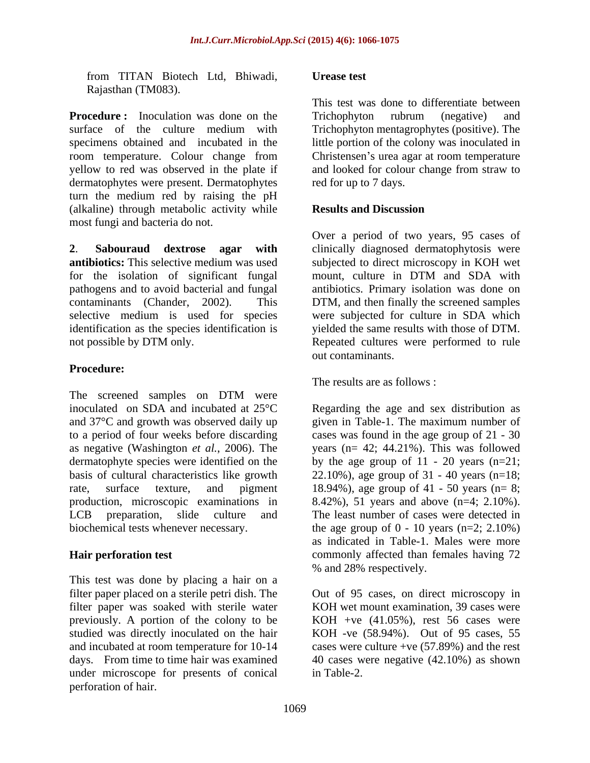from TITAN Biotech Ltd, Bhiwadi, Rajasthan (TM083).

**Procedure :** Inoculation was done on the Trichophyton rubrum (negative) and surface of the culture medium with Trichophyton mentagrophytes (positive). The specimens obtained and incubated in the room temperature. Colour change from yellow to red was observed in the plate if and looked for colour change from straw to dermatophytes were present. Dermatophytes turn the medium red by raising the pH (alkaline) through metabolic activity while **Results and Discussion** most fungi and bacteria do not.

**2**. **Sabouraud dextrose agar with** clinically diagnosed dermatophytosis were **antibiotics:** This selective medium was used subjected to direct microscopy in KOH wet for the isolation of significant fungal mount, culture in DTM and SDA with pathogens and to avoid bacterial and fungal antibiotics. Primary isolation was done on contaminants (Chander, 2002). This DTM, and then finally the screened samples selective medium is used for species were subjected for culture in SDA which identification as the species identification is not possible by DTM only. Repeated cultures were performed to rule

# **Procedure:**

The screened samples on DTM were inoculated on SDA and incubated at 25°C Regarding the age and sex distribution as and 37°C and growth was observed daily up given in Table-1. The maximum number of to a period of four weeks before discarding cases was found in the age group of 21 - 30 as negative (Washington *et al.*, 2006). The years (n= 42; 44.21%). This was followed dermatophyte species were identified on the by the age group of 11 - 20 years (n=21; basis of cultural characteristics like growth 22.10%), age group of 31 - 40 years (n=18; rate, surface texture, and pigment 18.94%), age group of 41 - 50 years (n= 8; production, microscopic examinations in 8.42%), 51 years and above (n=4; 2.10%). LCB preparation, slide culture and The least number of cases were detected in

This test was done by placing a hair on a filter paper placed on a sterile petri dish. The Out of 95 cases, on direct microscopy in filter paper was soaked with sterile water previously. A portion of the colony to be studied was directly inoculated on the hair KOH -ve (58.94%). Out of 95 cases, 55 and incubated at room temperature for 10-14 cases were culture +ve (57.89%) and the rest days. From time to time hair was examined 40 cases were negative (42.10%) as shown under microscope for presents of conical perforation of hair.

#### **Urease test**

This test was done to differentiate between Trichophyton rubrum (negative) and little portion of the colony was inoculated in Christensen's urea agar at room temperature red for up to 7 days.

#### **Results and Discussion**

Over a period of two years, 95 cases of mount, culture in DTM and SDA with yielded the same results with those of DTM. out contaminants.

The results are as follows :

biochemical tests whenever necessary. the age group of 0 - 10 years (n=2; 2.10%) **Hair perforation test** commonly affected than females having 72 as indicated in Table-1. Males were more % and 28% respectively.

> KOH wet mount examination, 39 cases were KOH +ve  $(41.05\%)$ , rest 56 cases were in Table-2.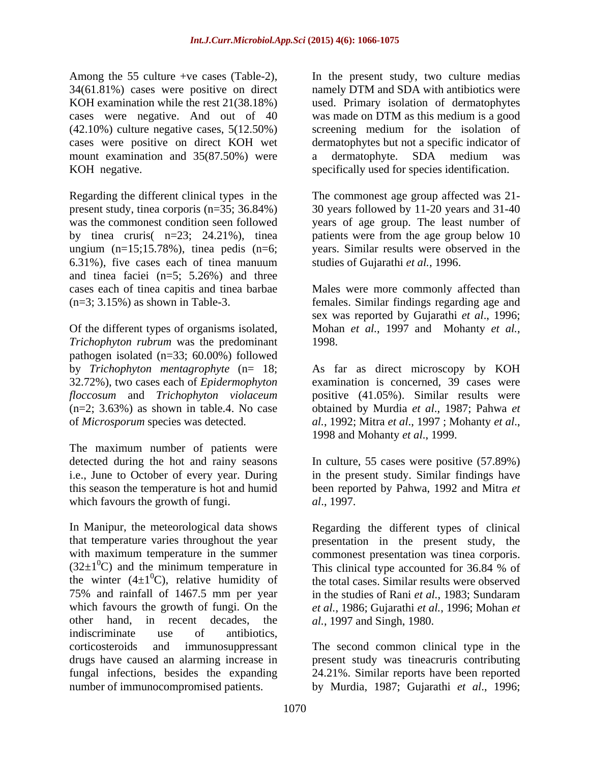Among the 55 culture +ve cases (Table-2), In the present study, two culture medias 34(61.81%) cases were positive on direct namely DTM and SDA with antibiotics were KOH examination while the rest 21(38.18%) used. Primary isolation of dermatophytes cases were negative. And out of 40 was made on DTM as this medium is a good (42.10%) culture negative cases, 5(12.50%) cases were positive on direct KOH wet mount examination and 35(87.50%) were a dermatophyte. SDA medium was KOH negative. The specifically used for species identification.

Regarding the different clinical types in the The commonest age group affected was 21 present study, tinea corporis (n=35; 36.84%) 30 years followed by 11-20 years and 31-40 was the commonest condition seen followed years of age group. The least number of by tinea cruris( n=23; 24.21%), tinea patients were from the age group below 10 ungium (n=15;15.78%), tinea pedis (n=6; years. Similar results were observed in the 6.31%), five cases each of tinea manuum and tinea faciei (n=5; 5.26%) and three cases each of tinea capitis and tinea barbae Males were more commonly affected than (n=3; 3.15%) as shown in Table-3. females. Similar findings regarding age and

*Trichophyton rubrum* was the predominant pathogen isolated (n=33; 60.00%) followed

The maximum number of patients were which favours the growth of fungi. al., 1997.

In Manipur, the meteorological data shows Regarding the different types of clinical that temperature varies throughout the year presentation in the present study, the with maximum temperature in the summer commonest presentation was tinea corporis.  $(32\pm1\degree C)$  and the minimum temperature in This clinical type accounted for 36.84 % of the winter  $(4\pm1\textsuperscript{0}C)$ , relative humidity of 75% and rainfall of 1467.5 mm per year in the studies of Rani et al., 1983; Sundaram which favours the growth of fungi. On the *et al.*, 1986; Gujarathi *et al.*, 1996; Mohan *et*  other hand, in recent decades, the indiscriminate use of antibiotics, corticosteroids and immunosuppressant The second common clinical type in the drugs have caused an alarming increase in present study was tineacruris contributing fungal infections, besides the expanding 24.21%. Similar reports have been reported number of immunocompromised patients. by Murdia, 1987; Gujarathi *et al*., 1996;

was made on DTM as this medium is a good screening medium for the isolation of dermatophytes but not a specific indicator of a dermatophyte. SDA medium was

studies of Gujarathi *et al.,* 1996.

Of the different types of organisms isolated, Mohan et al., 1997 and Mohanty et al., sex was reported by Gujarathi *et al*., 1996; Mohan *et al.*, <sup>1997</sup> and Mohanty *et al.*, 1998.

by *Trichophyton mentagrophyte* (n= 18; As far as direct microscopy by KOH 32.72%), two cases each of *Epidermophyton*  examination is concerned, 39 cases were *floccosum* and *Trichophyton violaceum* positive (41.05%). Similar results were (n=2; 3.63%) as shown in table.4. No case obtained by Murdia *et al*., 1987; Pahwa *et*  of *Microsporum* species was detected. *al.*, 1992; Mitra *et al*., 1997 ; Mohanty *et al*., 1998 and Mohanty *et al*., 1999.

detected during the hot and rainy seasons In culture, 55 cases were positive (57.89%) i.e., June to October of every year. During in the present study. Similar findings have this season the temperature is hot and humid been reported by Pahwa, 1992 and Mitra *et al*., 1997.

 ${}^{0}C$ ), relative humidity of the total cases. Similar results were observed This clinical type accounted for 36.84 % of in the studies of Rani *et al.*, 1983; Sundaram *al.*, 1997 and Singh, 1980.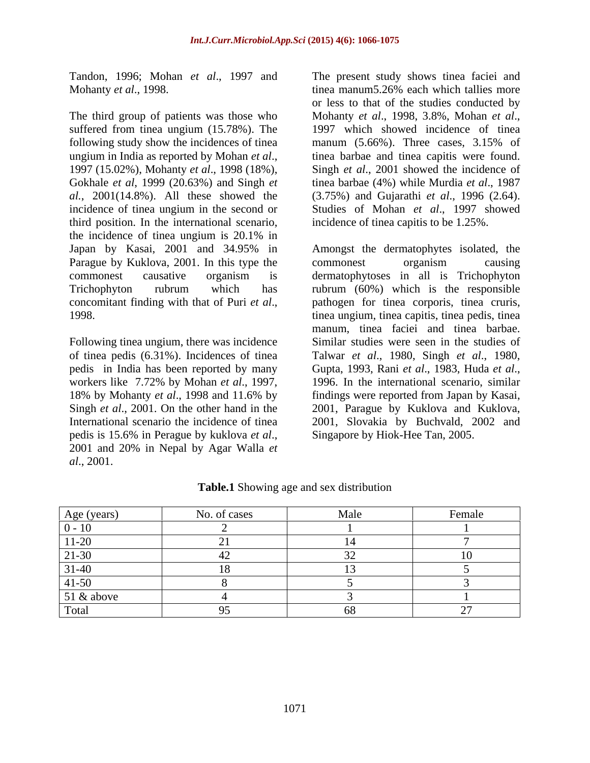The third group of patients was those who Mohanty et al., 1998, 3.8%, Mohan et al., suffered from tinea ungium (15.78%). The 1997 which showed incidence of tinea following study show the incidences of tinea manum (5.66%). Three cases, 3.15% of ungium in India as reported by Mohan *et al.*, tinea barbae and tinea capitis were found.<br>1997 (15.02%), Mohanty *et al.*, 1998 (18%), Singh *et al.*, 2001 showed the incidence of Gokhale *et al*, 1999 (20.63%) and Singh *et*  tinea barbae (4%) while Murdia *et al*., 1987 *al.*, 2001(14.8%). All these showed the incidence of tinea ungium in the second or Studies of Mohan *et al*., 1997 showed third position. In the international scenario, the incidence of tinea ungium is 20.1% in Japan by Kasai, 2001 and 34.95% in Amongst the dermatophytes isolated, the Parague by Kuklova, 2001. In this type the commonest organism causing commonest causative organism is dermatophytoses in all is Trichophyton Trichophyton rubrum which has rubrum (60%) which is the responsible

Following tinea ungium, there was incidence of tinea pedis (6.31%). Incidences of tinea Talwar et al., 1980, Singh et al., 1980, pedis in India has been reported by many Gupta, 1993, Rani et al., 1983, Huda et al., workers like 7.72% by Mohan *et al.*, 1997, 1996. In the international scenario, similar Singh *et al*., 2001. On the other hand in the pedis is 15.6% in Perague by kuklova *et al*., 2001 and 20% in Nepal by Agar Walla*et al*., 2001.

Tandon, 1996; Mohan *et al*., 1997 and The present study shows tinea faciei and Mohanty *et al.*, 1998. The same of the manum5.26% each which tallies more or less to that of the studies conducted by Mohanty *et al*., 1998, 3.8%, Mohan *et al*., 1997 which showed incidence of tinea tinea barbae and tinea capitis were found. Singh *et al*., 2001 showed the incidence of (3.75%) and Gujarathi *et al*., 1996 (2.64). incidence of tinea capitis to be 1.25%.

concomitant finding with that of Puri *et al.*, pathogen for tinea corporis, tinea cruris, 1998.<br>1998. 18% by Mohanty *et al*., 1998 and 11.6% by findings were reported from Japan by Kasai, International scenario the incidence of tinea 2001, Slovakia by Buchvald, 2002 and commonest organism causing pathogen for tinea corporis, tinea cruris, tinea ungium, tinea capitis, tinea pedis, tinea manum, tinea faciei and tinea barbae. Similar studies were seen in the studies of Talwar *et al.*, 1980, Singh *et al.*, 1980,<br>Gupta, 1993, Rani *et al.*, 1983, Huda *et al.*, 1996. In the international scenario, similar 2001, Parague by Kuklova and Kuklova, Singapore by Hiok-Hee Tan, 2005.

| Age (years)  | No. of cases | Male | Female |
|--------------|--------------|------|--------|
| $U -$        |              |      |        |
| $11-20$      |              |      |        |
| $ 21-30 $    |              |      | $\sim$ |
| $31-40$      |              |      |        |
| $ 41-50$     |              |      |        |
| $51$ & above |              |      |        |
| Total        |              |      |        |

**Table.1** Showing age and sex distribution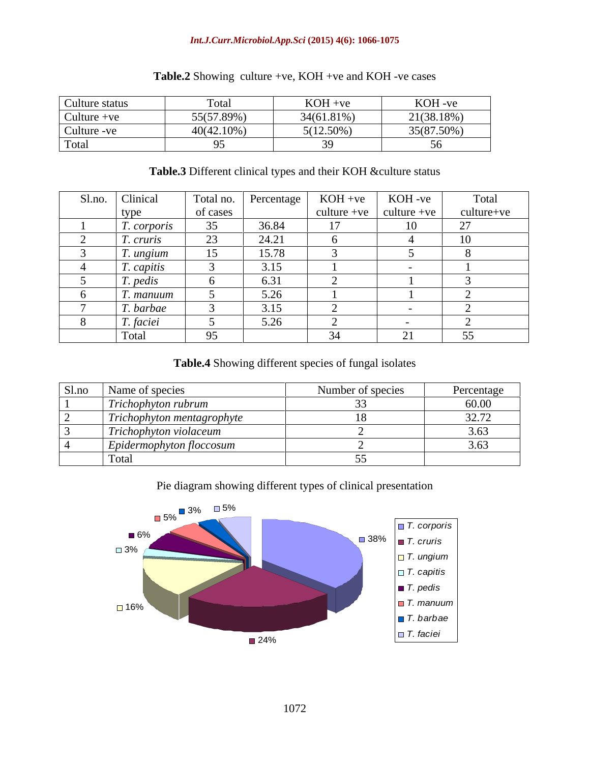#### *Int.J.Curr.Microbiol.App.Sci* **(2015) 4(6): 1066-1075**

| Culture status | Fotal      | $KOH +ve$    | KOH -ve    |
|----------------|------------|--------------|------------|
| Culture + $ve$ | 55(57.89%) | 34(61.81%)   | 21(38.18%) |
| Culture -ve    | 40(42.10%) | $5(12.50\%)$ | 35(87.50%) |
| Total          |            |              |            |

### **Table.2** Showing culture +ve, KOH +ve and KOH -ve cases

#### **Table.3** Different clinical types and their KOH &culture status

| Sl.no. Clinical          | Total no. | Percentage | $KOH +ve$ | KOH-ve                    | Total                   |
|--------------------------|-----------|------------|-----------|---------------------------|-------------------------|
| type                     | of cases  |            |           | culture +ve   culture +ve | culture+ve              |
| <i>T. corporis</i>       | 35        | 36.84      | 17        | 10                        | $\bigcap$               |
| <i>T.</i> cruris         | 23        | 24.21      |           |                           | 1 <sub>0</sub><br>- 1 V |
| <i>f. ungium</i>         | 15        | 15.78      |           |                           |                         |
| T. capitis               |           | 3.15       |           |                           |                         |
| $\mathbf{r}$<br>T. pedis |           | 6.31       |           |                           |                         |
| f. manuum                |           | 5.26       |           |                           |                         |
| T. barbae                |           | 3.15       |           |                           |                         |
| T. faciei                |           | 5.26       |           |                           |                         |
| Total                    | 95        |            |           | $\mathbf{C}$<br>◢         |                         |

#### **Table.4** Showing different species of fungal isolates

| Sl.no | Name of species                                | Number of species | Percentage             |
|-------|------------------------------------------------|-------------------|------------------------|
|       | $\mathbf{r}$<br>Trichophyton rubrum            |                   | 60.00                  |
|       | $\sim$<br>Trichophyton mentagrophyte           |                   | 227<br>$J \sim I \sim$ |
|       | $\sim$ $\sim$ $\sim$<br>Trichophyton violaceum |                   | 362                    |
|       | Epidermophyton floccosum                       |                   |                        |
|       | Total                                          |                   |                        |

Pie diagram showing different types of clinical presentation

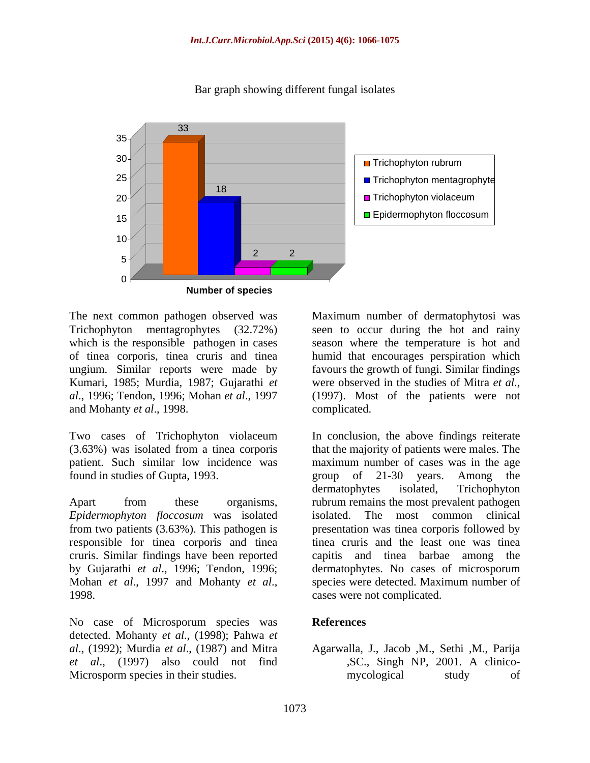

Bar graph showing different fungal isolates

Kumari, 1985; Murdia, 1987; Gujarathi *et* were observed in the studies of Mitra *et al.*, *al*., 1996; Tendon, 1996; Mohan *et al*., 1997 and Mohanty *et al*., 1998.

patient. Such similar low incidence was found in studies of Gupta, 1993. The group of 21-30 years. Among the

*Epidermophyton floccosum* was isolated from two patients (3.63%). This pathogen is responsible for tinea corporis and tinea cruris. Similar findings have been reported by Gujarathi *et al*., 1996; Tendon, 1996; Mohan *et al.*, 1997 and Mohanty *et al.*, species were detected. Maximum number of cases were not complicated.

No case of Microsporum species was **References** detected. Mohanty *et al*., (1998); Pahwa *et al*., (1992); Murdia *et al*., (1987) and Mitra Agarwalla, J., Jacob ,M., Sethi ,M., Parija *et al*., (1997) also could not find Microsporm species in their studies. The mycological study of

The next common pathogen observed was Maximum number of dermatophytosi was Trichophyton mentagrophytes (32.72%) seen to occur during the hot and rainy which is the responsible pathogen in cases season where the temperature is hot and of tinea corporis, tinea cruris and tinea humid that encourages perspiration which ungium. Similar reports were made by favours the growth of fungi. Similar findings were observed in the studies of Mitra *et al.*, (1997). Most of the patients were not complicated.

Two cases of Trichophyton violaceum In conclusion, the above findings reiterate (3.63%) was isolated from a tinea corporis that the majority of patients were males. The Apart from these organisms, rubrum remains the most prevalent pathogen In conclusion, the above findings reiterate maximum number of cases was in the age group of 21-30 years. Among the dermatophytes isolated, Trichophyton The most common clinical presentation was tinea corporis followed by tinea cruris and the least one was tinea capitis and tinea barbae among dermatophytes. No cases of microsporum species were detected. Maximum number of cases were not complicated.

#### **References**

,SC., Singh NP, 2001. A clinico mycological study of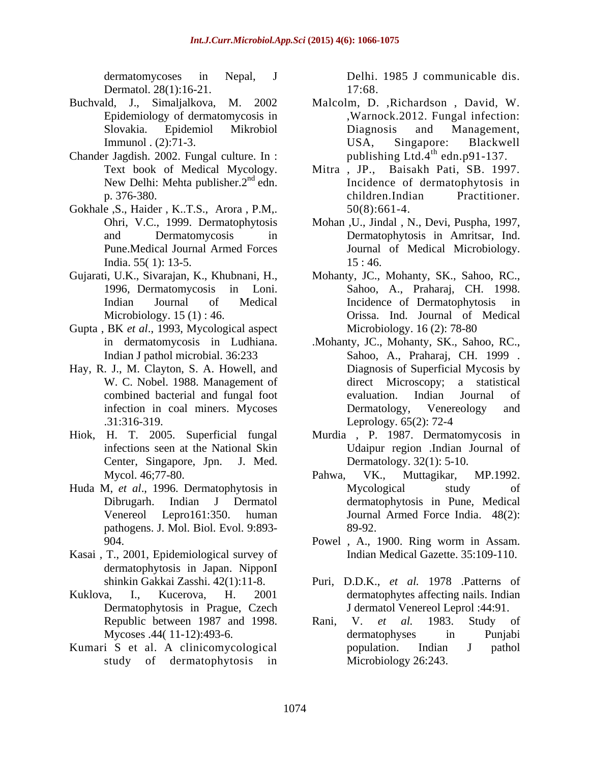Dermatol. 28(1):16-21. 17:68.

- Buchvald, J., Simaljalkova, M. 2002 Malcolm, D. ,Richardson , David, W.
- Chander Jagdish. 2002. Fungal culture. In :
- Gokhale ,S., Haider , K..T.S., Arora , P.M,. India. 55(1): 13-5. 15: 46.
- 
- Gupta , BK *et al*., 1993, Mycological aspect
- Hay, R. J., M. Clayton, S. A. Howell, and .31:316-319. Leprology. 65(2): 72-4
- Hiok, H. T. 2005. Superficial fungal Center, Singapore, Jpn. J. Med.
- pathogens. J. Mol. Biol. Evol. 9:893-
- Kasai , T., 2001, Epidemiological survey of dermatophytosis in Japan. NipponI
- Dermatophytosis in Prague, Czech
- study of dermatophytosis in

dermatomycoses in Nepal, J Delhi. 1985 J communicable dis. 17:68.

- Epidemiology of dermatomycosis in ,Warnock.2012. Fungal infection: Slovakia. Epidemiol Mikrobiol Immunol . (2):71-3. USA, Singapore: Blackwell Diagnosis and Management, USA, Singapore: Blackwell publishing Ltd.4<sup>th</sup> edn.p91-137.  $^{th}$  adn n01 127
- Text book of Medical Mycology. Mitra , JP., Baisakh Pati, SB. 1997. New Delhi: Mehta publisher. 2<sup>nd</sup> edn. Incidence of dermatophytosis in p. 376-380. Children.Indian Practitioner. children.Indian Practitioner. 50(8):661-4.
- Ohri, V.C., 1999. Dermatophytosis Mohan ,U., Jindal , N., Devi, Puspha, 1997, and Dermatomycosis in Dermatophytosis in Amritsar, Ind. Pune.Medical Journal Armed Forces Journal of Medical Microbiology. 15 : 46.
- Gujarati, U.K., Sivarajan, K., Khubnani, H., Mohanty, J.C., Mohanty, S.K., Sahoo, R.C., 1996, Dermatomycosis in Loni. Sahoo, A., Praharaj, CH. 1998. Indian Journal of Medical Incidence of Dermatophytosis in Microbiology. 15 (1) : 46. Orissa. Ind. Journal of Medical Microbiology. 16 (2): 78-80
	- in dermatomycosis in Ludhiana. .Mohanty, JC., Mohanty, SK., Sahoo, RC., Indian J pathol microbial. 36:233 Sahoo, A., Praharaj, CH. 1999 . W. C. Nobel. 1988. Management of direct Microscopy; a statistical combined bacterial and fungal foot infection in coal miners. Mycoses Dermatology, Venereology and Diagnosis of Superficial Mycosis by direct Microscopy; a statistical evaluation. Indian Journal of Dermatology, Venereology and Leprology. 65(2): 72-4
	- infections seen at the National Skin Udaipur region .Indian Journal of Murdia , P. 1987. Dermatomycosis in Dermatology. 32(1): 5-10.
- Mycol. 46;77-80. **Pahwa, VK., Muttagikar, MP.1992.** Huda M, *et al*., 1996. Dermatophytosis in Dibrugarh. Indian J Dermatol dermatophytosis in Pune, Medical Venereol Lepro161:350. human Journal Armed Force India. 48(2): Pahwa, VK., Muttagikar, MP.1992. Mycological study of 89-92.
	- 904. Powel , A., 1900. Ring worm in Assam. Indian Medical Gazette. 35:109-110.
- shinkin Gakkai Zasshi. 42(1):11-8. Puri, D.D.K., *et al.* 1978 .Patterns of Kuklova, I., Kucerova, H. 2001 dermatophytes affecting nails. Indian J dermatol Venereol Leprol :44:91.
- Republic between 1987 and 1998. Rani, V. et al. 1983. Study of Mycoses .44(11-12):493-6. dermatophyses in Punjabi Kumari S et al. A clinicomycological Rani, V. *et al.* 1983. Study of dermatophyses in Punjabi population. Indian J pathol Microbiology 26:243.